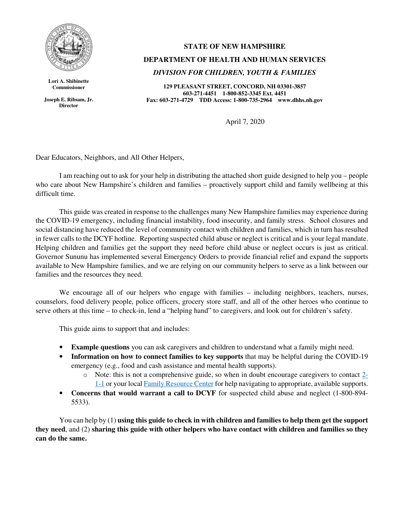

**Lori A. Shibinette Commissioner** 

**Joseph E. Ribsam, Jr. Director**

## **STATE OF NEW HAMPSHIRE**

## **DEPARTMENT OF HEALTH AND HUMAN SERVICES**

## *DIVISION FOR CHILDREN, YOUTH & FAMILIES*

**129 PLEASANT STREET, CONCORD, NH 03301-3857 603-271-4451 1-800-852-3345 Ext. 4451 Fax: 603-271-4729 TDD Access: 1-800-735-2964 www.dhhs.nh.gov**

April 7, 2020

Dear Educators, Neighbors, and All Other Helpers,

I am reaching out to ask for your help in distributing the attached short guide designed to help you – people who care about New Hampshire's children and families – proactively support child and family wellbeing at this difficult time.

This guide was created in response to the challenges many New Hampshire families may experience during the COVID-19 emergency, including financial instability, food insecurity, and family stress. School closures and social distancing have reduced the level of community contact with children and families, which in turn has resulted in fewer calls to the DCYF hotline. Reporting suspected child abuse or neglect is critical and is your legal mandate. Helping children and families get the support they need before child abuse or neglect occurs is just as critical. Governor Sununu has implemented several Emergency Orders to provide financial relief and expand the supports available to New Hampshire families, and we are relying on our community helpers to serve as a link between our families and the resources they need.

We encourage all of our helpers who engage with families – including neighbors, teachers, nurses, counselors, food delivery people, police officers, grocery store staff, and all of the other heroes who continue to serve others at this time – to check-in, lend a "helping hand" to caregivers, and look out for children's safety.

This guide aims to support that and includes:

- **Example questions** you can ask caregivers and children to understand what a family might need.
- **Information on how to connect families to key supports** that may be helpful during the COVID-19 emergency (e.g., food and cash assistance and mental health supports).
	- o Note: this is not a comprehensive guide, so when in doubt encourage caregivers to contact 2- 1-1 or your local Family Resource Center for help navigating to appropriate, available supports.
- **Concerns that would warrant a call to DCYF** for suspected child abuse and neglect (1-800-894- 5533).

You can help by (1) **using this guide to check in with children and families to help them get the support they need**, and (2) **sharing this guide with other helpers who have contact with children and families so they can do the same.**